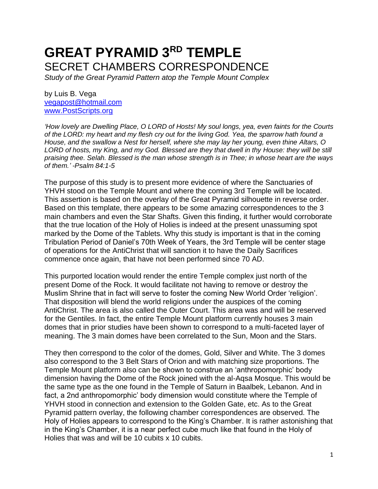## **GREAT PYRAMID 3RD TEMPLE** SECRET CHAMBERS CORRESPONDENCE

*Study of the Great Pyramid Pattern atop the Temple Mount Complex*

by Luis B. Vega [vegapost@hotmail.com](mailto:vegapost@hotmail.com) [www.PostScripts.org](http://www.postscripts.org/)

*'How lovely are Dwelling Place, O LORD of Hosts! My soul longs, yea, even faints for the Courts of the LORD: my heart and my flesh cry out for the living God. Yea, the sparrow hath found a House, and the swallow a Nest for herself, where she may lay her young, even thine Altars, O LORD of hosts, my King, and my God. Blessed are they that dwell in thy House: they will be still praising thee. Selah. Blessed is the man whose strength is in Thee; in whose heart are the ways of them.' -Psalm 84:1-5*

The purpose of this study is to present more evidence of where the Sanctuaries of YHVH stood on the Temple Mount and where the coming 3rd Temple will be located. This assertion is based on the overlay of the Great Pyramid silhouette in reverse order. Based on this template, there appears to be some amazing correspondences to the 3 main chambers and even the Star Shafts. Given this finding, it further would corroborate that the true location of the Holy of Holies is indeed at the present unassuming spot marked by the Dome of the Tablets. Why this study is important is that in the coming Tribulation Period of Daniel's 70th Week of Years, the 3rd Temple will be center stage of operations for the AntiChrist that will sanction it to have the Daily Sacrifices commence once again, that have not been performed since 70 AD.

This purported location would render the entire Temple complex just north of the present Dome of the Rock. It would facilitate not having to remove or destroy the Muslim Shrine that in fact will serve to foster the coming New World Order 'religion'. That disposition will blend the world religions under the auspices of the coming AntiChrist. The area is also called the Outer Court. This area was and will be reserved for the Gentiles. In fact, the entire Temple Mount platform currently houses 3 main domes that in prior studies have been shown to correspond to a multi-faceted layer of meaning. The 3 main domes have been correlated to the Sun, Moon and the Stars.

They then correspond to the color of the domes, Gold, Silver and White. The 3 domes also correspond to the 3 Belt Stars of Orion and with matching size proportions. The Temple Mount platform also can be shown to construe an 'anthropomorphic' body dimension having the Dome of the Rock joined with the al-Aqsa Mosque. This would be the same type as the one found in the Temple of Saturn in Baalbek, Lebanon. And in fact, a 2nd anthropomorphic' body dimension would constitute where the Temple of YHVH stood in connection and extension to the Golden Gate, etc. As to the Great Pyramid pattern overlay, the following chamber correspondences are observed. The Holy of Holies appears to correspond to the King's Chamber. It is rather astonishing that in the King's Chamber, it is a near perfect cube much like that found in the Holy of Holies that was and will be 10 cubits x 10 cubits.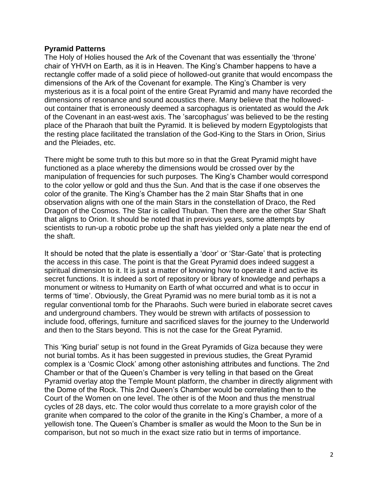## **Pyramid Patterns**

The Holy of Holies housed the Ark of the Covenant that was essentially the 'throne' chair of YHVH on Earth, as it is in Heaven. The King's Chamber happens to have a rectangle coffer made of a solid piece of hollowed-out granite that would encompass the dimensions of the Ark of the Covenant for example. The King's Chamber is very mysterious as it is a focal point of the entire Great Pyramid and many have recorded the dimensions of resonance and sound acoustics there. Many believe that the hollowedout container that is erroneously deemed a sarcophagus is orientated as would the Ark of the Covenant in an east-west axis. The 'sarcophagus' was believed to be the resting place of the Pharaoh that built the Pyramid. It is believed by modern Egyptologists that the resting place facilitated the translation of the God-King to the Stars in Orion, Sirius and the Pleiades, etc.

There might be some truth to this but more so in that the Great Pyramid might have functioned as a place whereby the dimensions would be crossed over by the manipulation of frequencies for such purposes. The King's Chamber would correspond to the color yellow or gold and thus the Sun. And that is the case if one observes the color of the granite. The King's Chamber has the 2 main Star Shafts that in one observation aligns with one of the main Stars in the constellation of Draco, the Red Dragon of the Cosmos. The Star is called Thuban. Then there are the other Star Shaft that aligns to Orion. It should be noted that in previous years, some attempts by scientists to run-up a robotic probe up the shaft has yielded only a plate near the end of the shaft.

It should be noted that the plate is essentially a 'door' or 'Star-Gate' that is protecting the access in this case. The point is that the Great Pyramid does indeed suggest a spiritual dimension to it. It is just a matter of knowing how to operate it and active its secret functions. It is indeed a sort of repository or library of knowledge and perhaps a monument or witness to Humanity on Earth of what occurred and what is to occur in terms of 'time'. Obviously, the Great Pyramid was no mere burial tomb as it is not a regular conventional tomb for the Pharaohs. Such were buried in elaborate secret caves and underground chambers. They would be strewn with artifacts of possession to include food, offerings, furniture and sacrificed slaves for the journey to the Underworld and then to the Stars beyond. This is not the case for the Great Pyramid.

This 'King burial' setup is not found in the Great Pyramids of Giza because they were not burial tombs. As it has been suggested in previous studies, the Great Pyramid complex is a 'Cosmic Clock' among other astonishing attributes and functions. The 2nd Chamber or that of the Queen's Chamber is very telling in that based on the Great Pyramid overlay atop the Temple Mount platform, the chamber in directly alignment with the Dome of the Rock. This 2nd Queen's Chamber would be correlating then to the Court of the Women on one level. The other is of the Moon and thus the menstrual cycles of 28 days, etc. The color would thus correlate to a more grayish color of the granite when compared to the color of the granite in the King's Chamber, a more of a yellowish tone. The Queen's Chamber is smaller as would the Moon to the Sun be in comparison, but not so much in the exact size ratio but in terms of importance.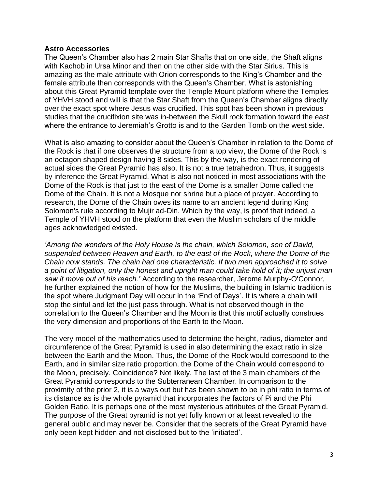## **Astro Accessories**

The Queen's Chamber also has 2 main Star Shafts that on one side, the Shaft aligns with Kachob in Ursa Minor and then on the other side with the Star Sirius. This is amazing as the male attribute with Orion corresponds to the King's Chamber and the female attribute then corresponds with the Queen's Chamber. What is astonishing about this Great Pyramid template over the Temple Mount platform where the Temples of YHVH stood and will is that the Star Shaft from the Queen's Chamber aligns directly over the exact spot where Jesus was crucified. This spot has been shown in previous studies that the crucifixion site was in-between the Skull rock formation toward the east where the entrance to Jeremiah's Grotto is and to the Garden Tomb on the west side.

What is also amazing to consider about the Queen's Chamber in relation to the Dome of the Rock is that if one observes the structure from a top view, the Dome of the Rock is an octagon shaped design having 8 sides. This by the way, is the exact rendering of actual sides the Great Pyramid has also. It is not a true tetrahedron. Thus, it suggests by inference the Great Pyramid. What is also not noticed in most associations with the Dome of the Rock is that just to the east of the Dome is a smaller Dome called the Dome of the Chain. It is not a Mosque nor shrine but a place of prayer. According to research, the Dome of the Chain owes its name to an ancient legend during King Solomon's rule according to Mujir ad-Din. Which by the way, is proof that indeed, a Temple of YHVH stood on the platform that even the Muslim scholars of the middle ages acknowledged existed.

*'Among the wonders of the Holy House is the chain, which Solomon, son of David, suspended between Heaven and Earth, to the east of the Rock, where the Dome of the Chain now stands. The chain had one characteristic. If two men approached it to solve a point of litigation, only the honest and upright man could take hold of it; the unjust man saw it move out of his reach.'* According to the researcher, Jerome Murphy-O'Connor, he further explained the notion of how for the Muslims, the building in Islamic tradition is the spot where Judgment Day will occur in the 'End of Days'. It is where a chain will stop the sinful and let the just pass through. What is not observed though in the correlation to the Queen's Chamber and the Moon is that this motif actually construes the very dimension and proportions of the Earth to the Moon.

The very model of the mathematics used to determine the height, radius, diameter and circumference of the Great Pyramid is used in also determining the exact ratio in size between the Earth and the Moon. Thus, the Dome of the Rock would correspond to the Earth, and in similar size ratio proportion, the Dome of the Chain would correspond to the Moon, precisely. Coincidence? Not likely. The last of the 3 main chambers of the Great Pyramid corresponds to the Subterranean Chamber. In comparison to the proximity of the prior 2, it is a ways out but has been shown to be in phi ratio in terms of its distance as is the whole pyramid that incorporates the factors of Pi and the Phi Golden Ratio. It is perhaps one of the most mysterious attributes of the Great Pyramid. The purpose of the Great pyramid is not yet fully known or at least revealed to the general public and may never be. Consider that the secrets of the Great Pyramid have only been kept hidden and not disclosed but to the 'initiated'.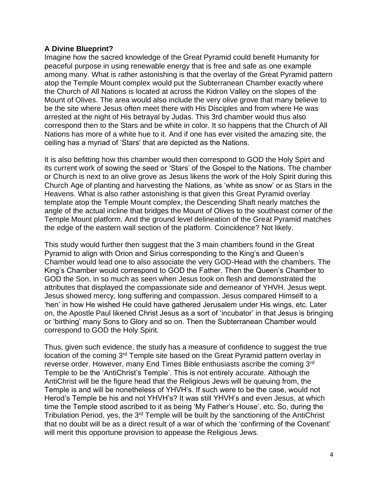## **A Divine Blueprint?**

Imagine how the sacred knowledge of the Great Pyramid could benefit Humanity for peaceful purpose in using renewable energy that is free and safe as one example among many. What is rather astonishing is that the overlay of the Great Pyramid pattern atop the Temple Mount complex would put the Subterranean Chamber exactly where the Church of All Nations is located at across the Kidron Valley on the slopes of the Mount of Olives. The area would also include the very olive grove that many believe to be the site where Jesus often meet there with His Disciples and from where He was arrested at the night of His betrayal by Judas. This 3rd chamber would thus also correspond then to the Stars and be white in color. It so happens that the Church of All Nations has more of a white hue to it. And if one has ever visited the amazing site, the ceiling has a myriad of 'Stars' that are depicted as the Nations.

It is also befitting how this chamber would then correspond to GOD the Holy Spirt and its current work of sowing the seed or 'Stars' of the Gospel to the Nations. The chamber or Church is next to an olive grove as Jesus likens the work of the Holy Spirit during this Church Age of planting and harvesting the Nations, as 'white as snow' or as Stars in the Heavens. What is also rather astonishing is that given this Great Pyramid overlay template atop the Temple Mount complex, the Descending Shaft nearly matches the angle of the actual incline that bridges the Mount of Olives to the southeast corner of the Temple Mount platform. And the ground level delineation of the Great Pyramid matches the edge of the eastern wall section of the platform. Coincidence? Not likely.

This study would further then suggest that the 3 main chambers found in the Great Pyramid to align with Orion and Sirius corresponding to the King's and Queen's Chamber would lead one to also associate the very GOD-Head with the chambers. The King's Chamber would correspond to GOD the Father. Then the Queen's Chamber to GOD the Son, in so much as seen when Jesus took on flesh and demonstrated the attributes that displayed the compassionate side and demeanor of YHVH. Jesus wept. Jesus showed mercy, long suffering and compassion. Jesus compared Himself to a 'hen' in how He wished He could have gathered Jerusalem under His wings, etc. Later on, the Apostle Paul likened Christ Jesus as a sort of 'incubator' in that Jesus is bringing or 'birthing' many Sons to Glory and so on. Then the Subterranean Chamber would correspond to GOD the Holy Spirit.

Thus, given such evidence, the study has a measure of confidence to suggest the true location of the coming 3<sup>rd</sup> Temple site based on the Great Pyramid pattern overlay in reverse order. However, many End Times Bible enthusiasts ascribe the coming 3rd Temple to be the 'AntiChrist's Temple'. This is not entirely accurate. Although the AntiChrist will be the figure head that the Religious Jews will be queuing from, the Temple is and will be nonetheless of YHVH's. If such were to be the case, would not Herod's Temple be his and not YHVH's? It was still YHVH's and even Jesus, at which time the Temple stood ascribed to it as being 'My Father's House', etc. So, during the Tribulation Period, yes, the 3<sup>rd</sup> Temple will be built by the sanctioning of the AntiChrist that no doubt will be as a direct result of a war of which the 'confirming of the Covenant' will merit this opportune provision to appease the Religious Jews.